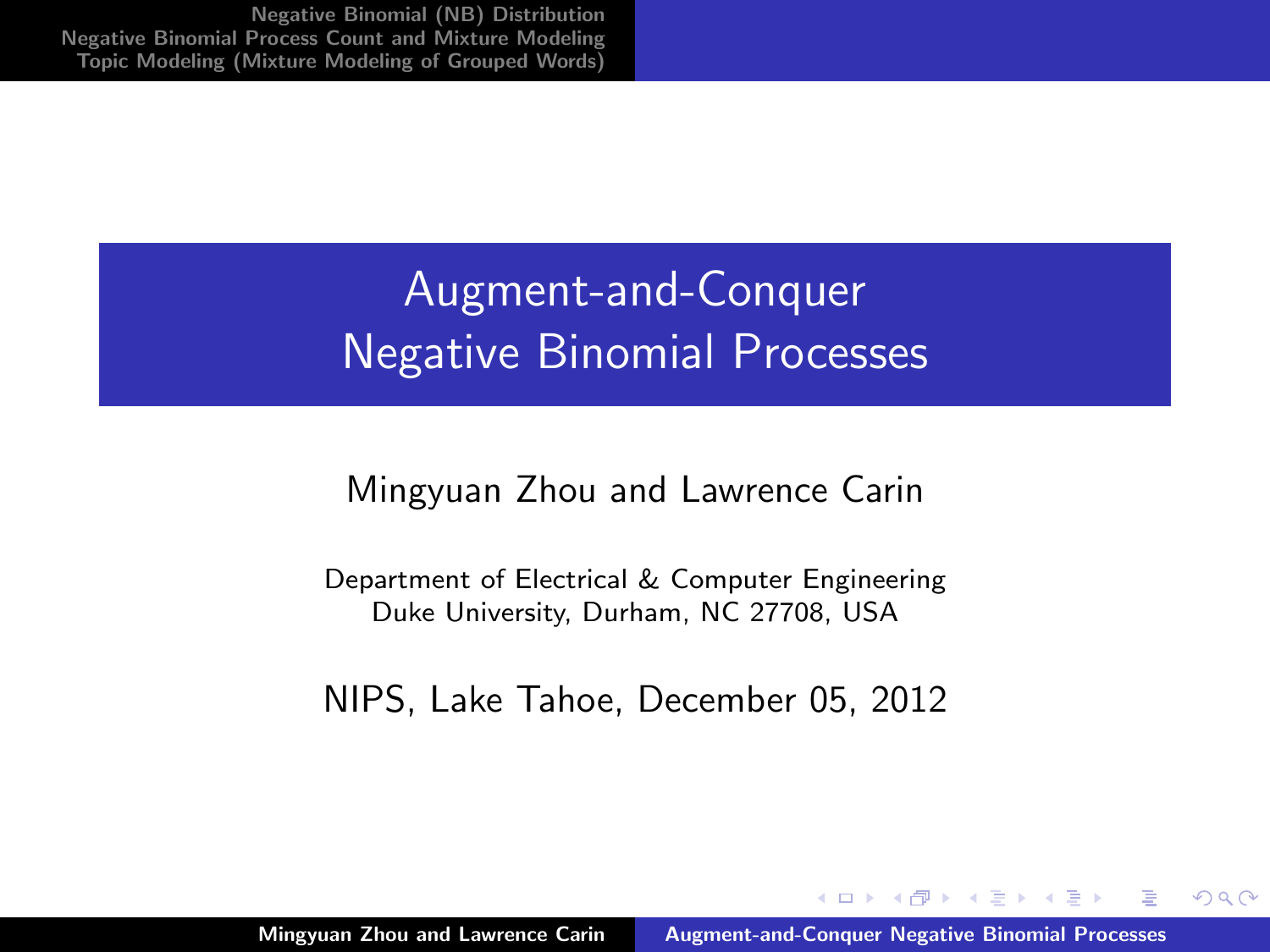## Augment-and-Conquer Negative Binomial Processes

## Mingyuan Zhou and Lawrence Carin

Department of Electrical & Computer Engineering Duke University, Durham, NC 27708, USA

NIPS, Lake Tahoe, December 05, 2012

a mills.

マーター マンドマン

<span id="page-0-0"></span> $2Q$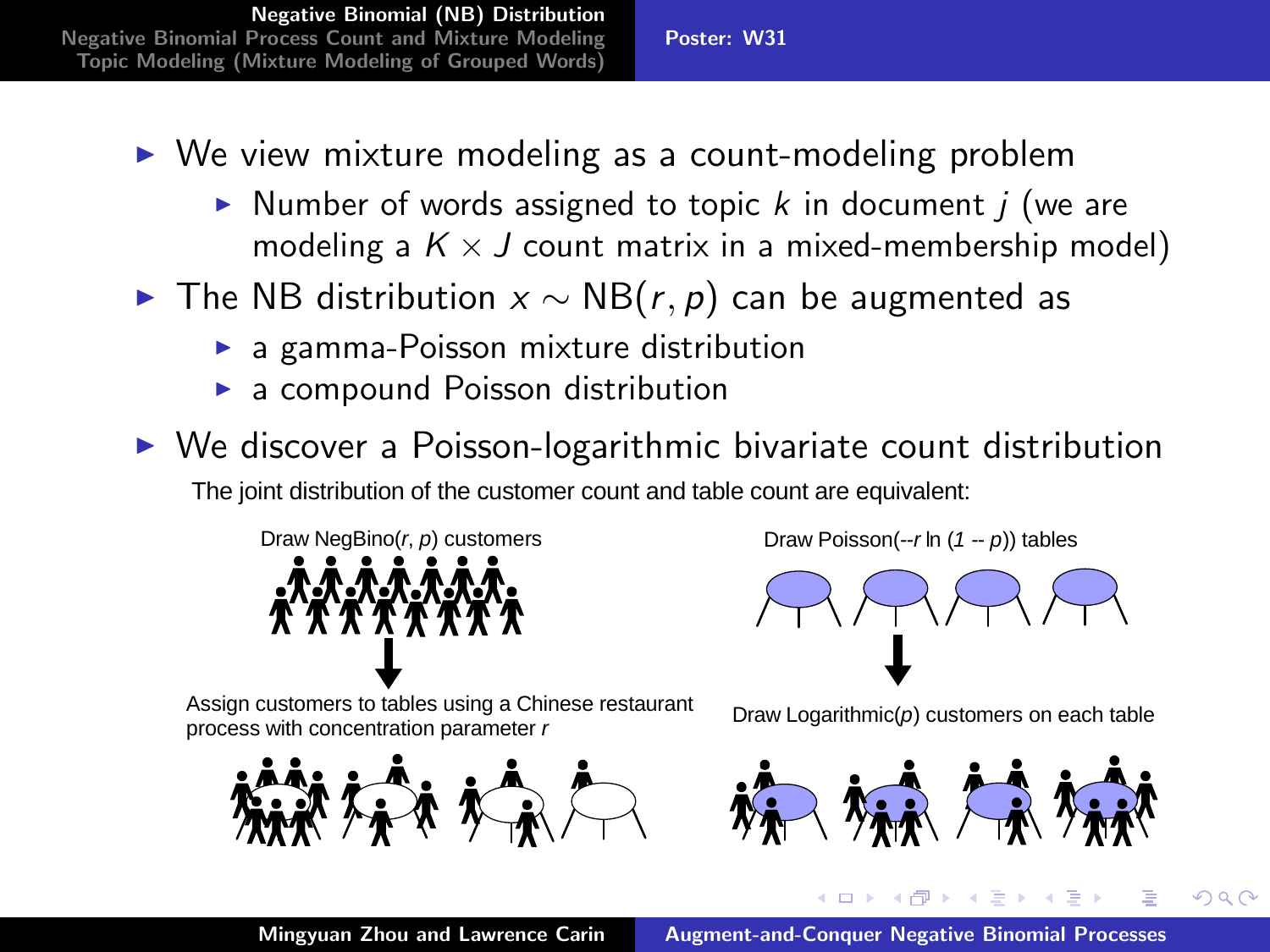[Poster: W31](#page-1-0)

- $\triangleright$  We view mixture modeling as a count-modeling problem
	- In Number of words assigned to topic k in document  $i$  (we are modeling a  $K \times J$  count matrix in a mixed-membership model)
- ► The NB distribution  $x \sim NB(r, p)$  can be augmented as
	- $\triangleright$  a gamma-Poisson mixture distribution
	- $\blacktriangleright$  a compound Poisson distribution
- $\triangleright$  We discover a Poisson-logarithmic bivariate count distribution The joint distribution of the customer count and table count are equivalent:



Assign customers to tables using a Chinese restaurant process with concentration parameter r



Draw NegBino(r, p) customers Draw Poisson(--r ln (1 -- p)) tables



Draw Logarithmic(p) customers on each table



メロメ メ御 メメ ミメ メミメ

<span id="page-1-0"></span> $\Omega$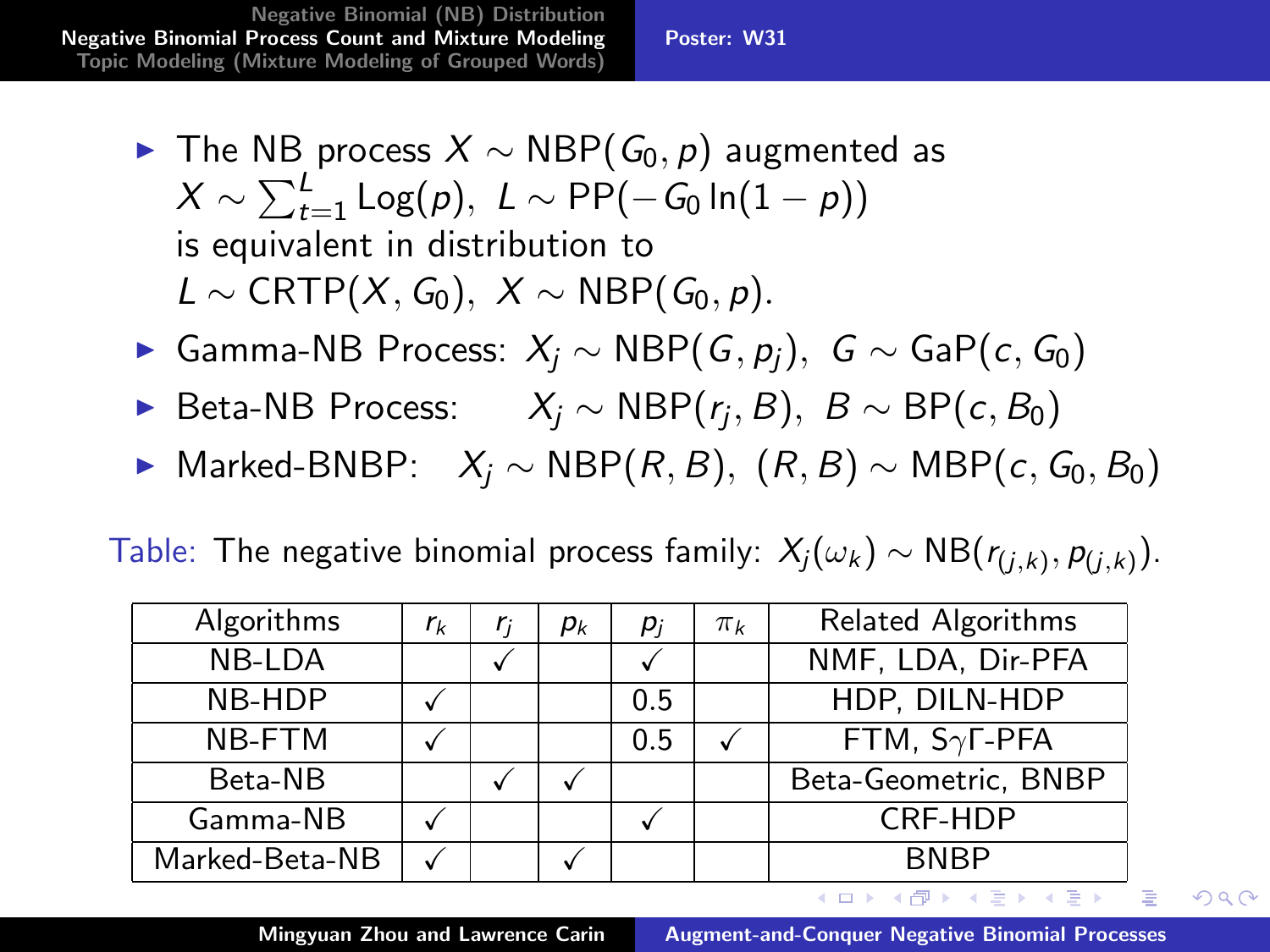[Poster: W31](#page-2-0)

- ► The NB process  $X \sim \mathsf{NBP}(G_0,p)$  augmented as  $X \sim \sum_{t=1}^{L} \text{Log}(p), \ L \sim \text{PP}(-\textsf{G}_0 \ln(1-p))$ is equivalent in distribution to  $L \sim \text{CRTP}(X, G_0), X \sim \text{NBP}(G_0, p).$
- ► Gamma-NB Process:  $X_i \sim \text{NBP}(G, p_i)$ ,  $G \sim \text{Gap}(c, G_0)$
- ► Beta-NB Process:  $X_j \sim \mathsf{NBP}(r_j, B), \; B \sim \mathsf{BP}(c, B_0)$
- ► Marked-BNBP:  $X_i \sim \text{NBP}(R, B)$ ,  $(R, B) \sim \text{MBP}(c, G_0, B_0)$

|  |  | Table: The negative binomial process family: $X_j(\omega_k) \sim \mathsf{NB}(r_{(j,k)}, p_{(j,k)}).$ |  |  |  |  |  |  |  |  |
|--|--|------------------------------------------------------------------------------------------------------|--|--|--|--|--|--|--|--|
|--|--|------------------------------------------------------------------------------------------------------|--|--|--|--|--|--|--|--|

| Algorithms     | rk | $p_k$ | $p_i$ | $\pi_k$ | Related Algorithms     |
|----------------|----|-------|-------|---------|------------------------|
| NB-LDA         |    |       |       |         | NMF, LDA, Dir-PFA      |
| NB-HDP         |    |       | 0.5   |         | HDP, DILN-HDP          |
| NB-FTM         |    |       | 0.5   |         | FTM, $S\gamma$ F-PFA   |
| Beta-NB        |    |       |       |         | Beta-Geometric, BNBP   |
| Gamma-NB       |    |       |       |         | CRF-HDP                |
| Marked-Beta-NB |    |       |       |         | <b>BNBP</b>            |
|                |    |       |       |         | ∢ロト (何) (ヨ) (ヨ)<br>- 三 |

<span id="page-2-0"></span> $\Omega$